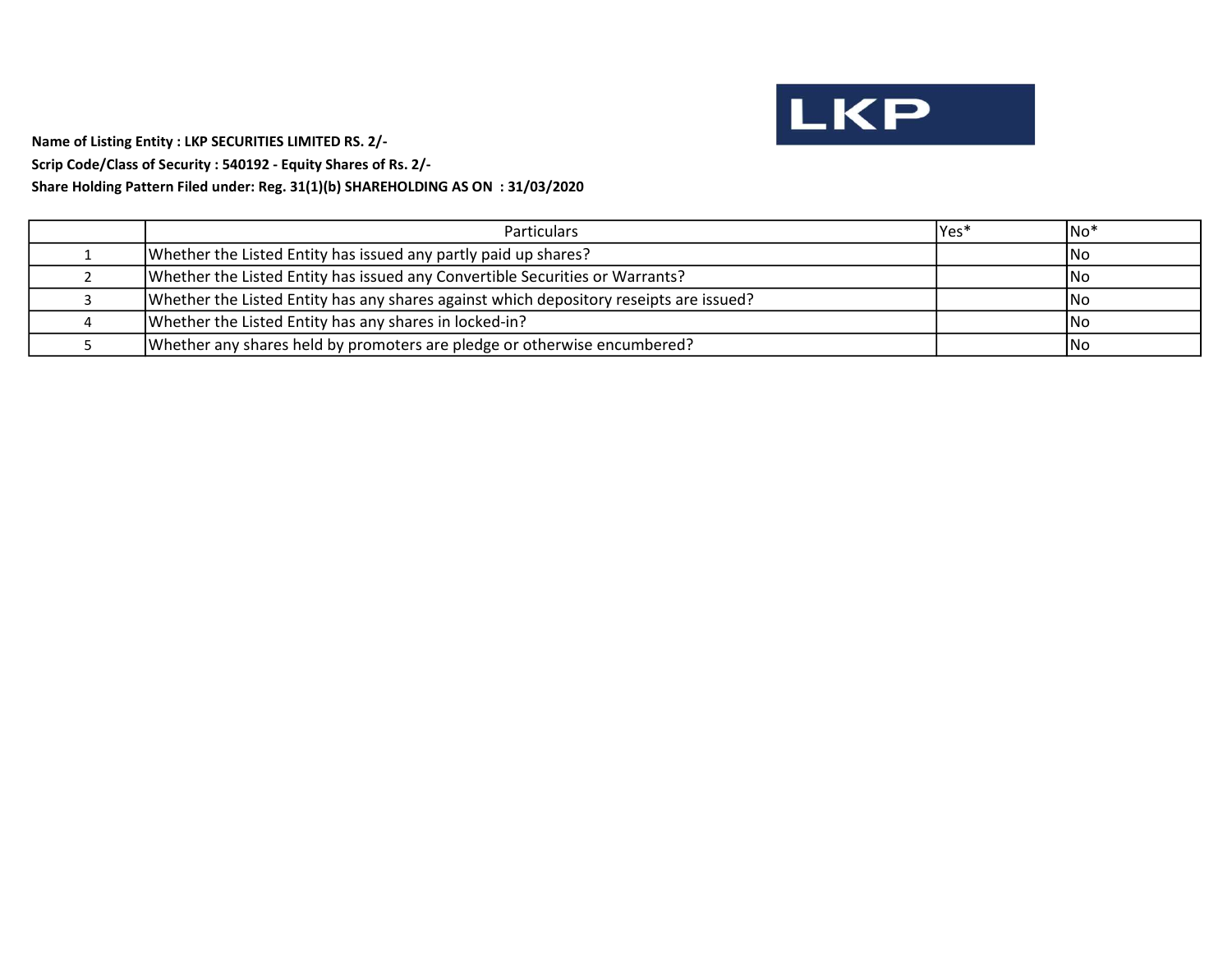

Name of Listing Entity : LKP SECURITIES LIMITED RS. 2/-

Scrip Code/Class of Security : 540192 - Equity Shares of Rs. 2/-

# Share Holding Pattern Filed under: Reg. 31(1)(b) SHAREHOLDING AS ON : 31/03/2020

| <b>Particulars</b>                                                                     | lYes* | INo* |
|----------------------------------------------------------------------------------------|-------|------|
| Whether the Listed Entity has issued any partly paid up shares?                        |       | 1No  |
| Whether the Listed Entity has issued any Convertible Securities or Warrants?           |       | INo. |
| Whether the Listed Entity has any shares against which depository reseipts are issued? |       | INo. |
| Whether the Listed Entity has any shares in locked-in?                                 |       | 1No  |
| Whether any shares held by promoters are pledge or otherwise encumbered?               |       | INo. |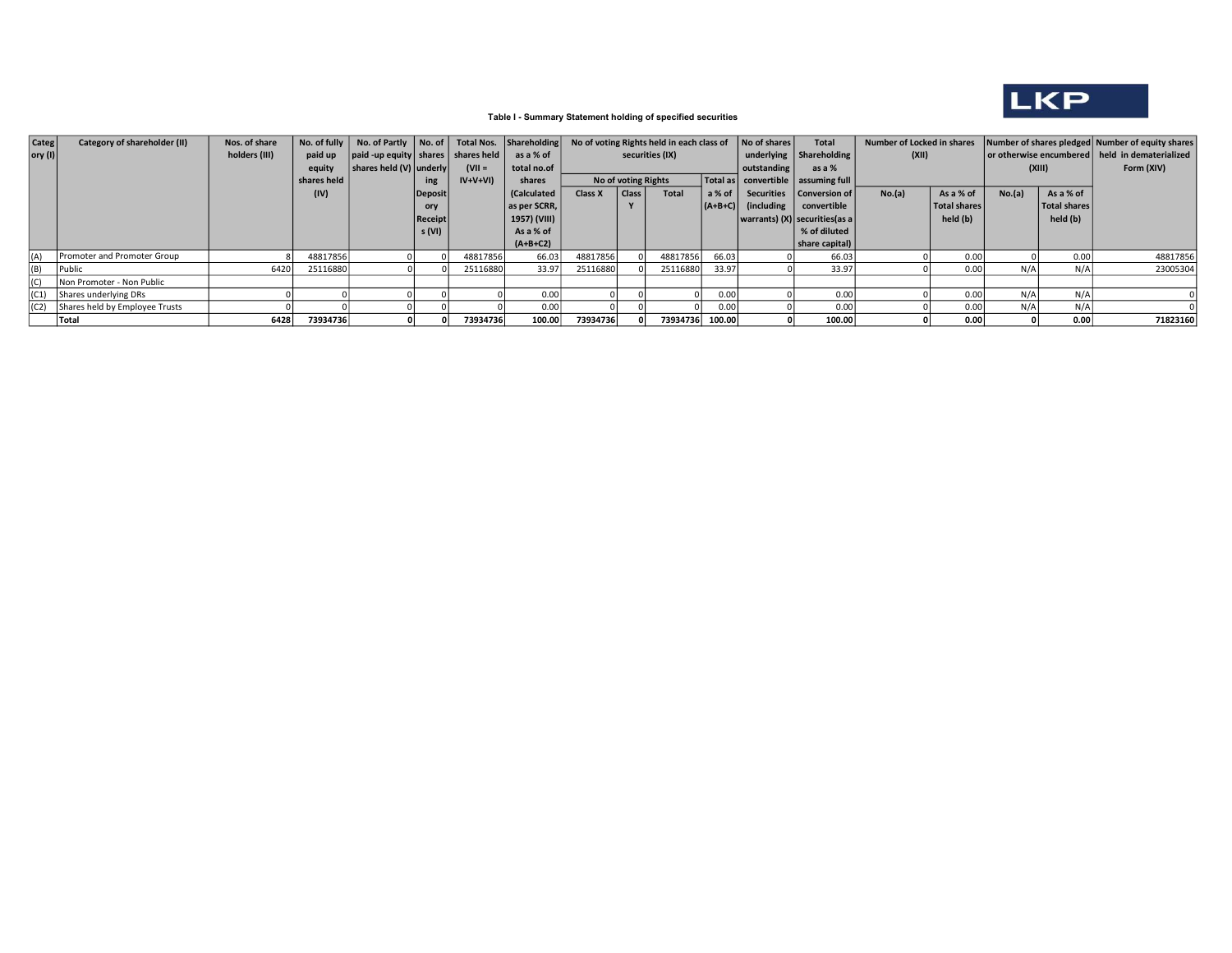

## Table I - Summary Statement holding of specified securities

| Categ                   | Category of shareholder (II)        | Nos. of share | No. of fully | No. of Partly No. of                   |                |           | Total Nos. Shareholding |          |                     | No of voting Rights held in each class of |                   | No of shares             | <b>Total</b>                       |        | Number of Locked in shares |                                                  |              | Number of shares pledged Number of equity shares |
|-------------------------|-------------------------------------|---------------|--------------|----------------------------------------|----------------|-----------|-------------------------|----------|---------------------|-------------------------------------------|-------------------|--------------------------|------------------------------------|--------|----------------------------|--------------------------------------------------|--------------|--------------------------------------------------|
| $\vert$ ory (I) $\vert$ |                                     | holders (III) | paid up      | paid -up equity   shares   shares held |                |           | as a % of               |          |                     | securities (IX)                           |                   |                          | underlying   Shareholding          | (XII)  |                            | or otherwise encumbered   held in dematerialized |              |                                                  |
|                         |                                     |               | equity       | shares held (V) underly                |                | $(VII =$  | total no.of             |          |                     |                                           | outstanding       | as a %                   |                                    |        | (XIII)                     |                                                  | Form (XIV)   |                                                  |
|                         |                                     |               | shares held  |                                        | ing            | $IV+V+VI$ | shares                  |          | No of voting Rights |                                           |                   |                          | Total as convertible assuming full |        |                            |                                                  |              |                                                  |
|                         |                                     |               | (IV)         |                                        | Deposit        |           | (Calculated             | Class X  | Class               | <b>Total</b>                              | $a % of \sqrt{a}$ |                          | Securities   Conversion of         | No.(a) | As a % of                  | No.(a)                                           | As a % of    |                                                  |
|                         |                                     |               |              |                                        | ory            |           | as per SCRR,            |          |                     |                                           |                   | $  (A+B+C)  $ (including | convertible                        |        | Total shares               |                                                  | Total shares |                                                  |
|                         |                                     |               |              |                                        | <b>Receipt</b> |           | 1957) (VIII)            |          |                     |                                           |                   |                          | warrants) (X) securities(as a      |        | held (b)                   |                                                  | held (b)     |                                                  |
|                         |                                     |               |              |                                        | s (VI)         |           | As a % of               |          |                     |                                           |                   |                          | % of diluted                       |        |                            |                                                  |              |                                                  |
|                         |                                     |               |              |                                        |                |           | $(A+B+C2)$              |          |                     |                                           |                   |                          | share capital)                     |        |                            |                                                  |              |                                                  |
| (A)                     | Promoter and Promoter Group         |               | 48817856     |                                        |                | 48817856  | 66.03                   | 48817856 |                     | 48817856                                  | 66.03             |                          | 66.03                              |        | 0.00                       |                                                  | 0.00         | 48817856                                         |
| (B)                     | Public                              | 6420          | 25116880     |                                        |                | 25116880  | 33.97                   | 25116880 |                     | 25116880                                  | 33.97             |                          | 33.97                              |        | 0.00                       | N/A                                              | N/A          | 23005304                                         |
| (C)                     | Non Promoter - Non Public           |               |              |                                        |                |           |                         |          |                     |                                           |                   |                          |                                    |        |                            |                                                  |              |                                                  |
| (C1)                    | Shares underlying DRs               |               |              |                                        |                |           | 0.00                    |          |                     |                                           | 0.00              |                          | 0.00                               |        | 0.00                       | N/A                                              | N/A          |                                                  |
|                         | (C2) Shares held by Employee Trusts |               |              |                                        |                |           | 0.00                    |          |                     |                                           | 0.00              |                          | 0.00                               |        | 0.00                       | N/A                                              | N/A          |                                                  |
|                         | Total                               | 6428          | 73934736     |                                        |                | 73934736  | 100.00                  | 73934736 |                     | 73934736 100.00                           |                   |                          | 100.00                             |        | 0.00                       |                                                  | 0.00         | 71823160                                         |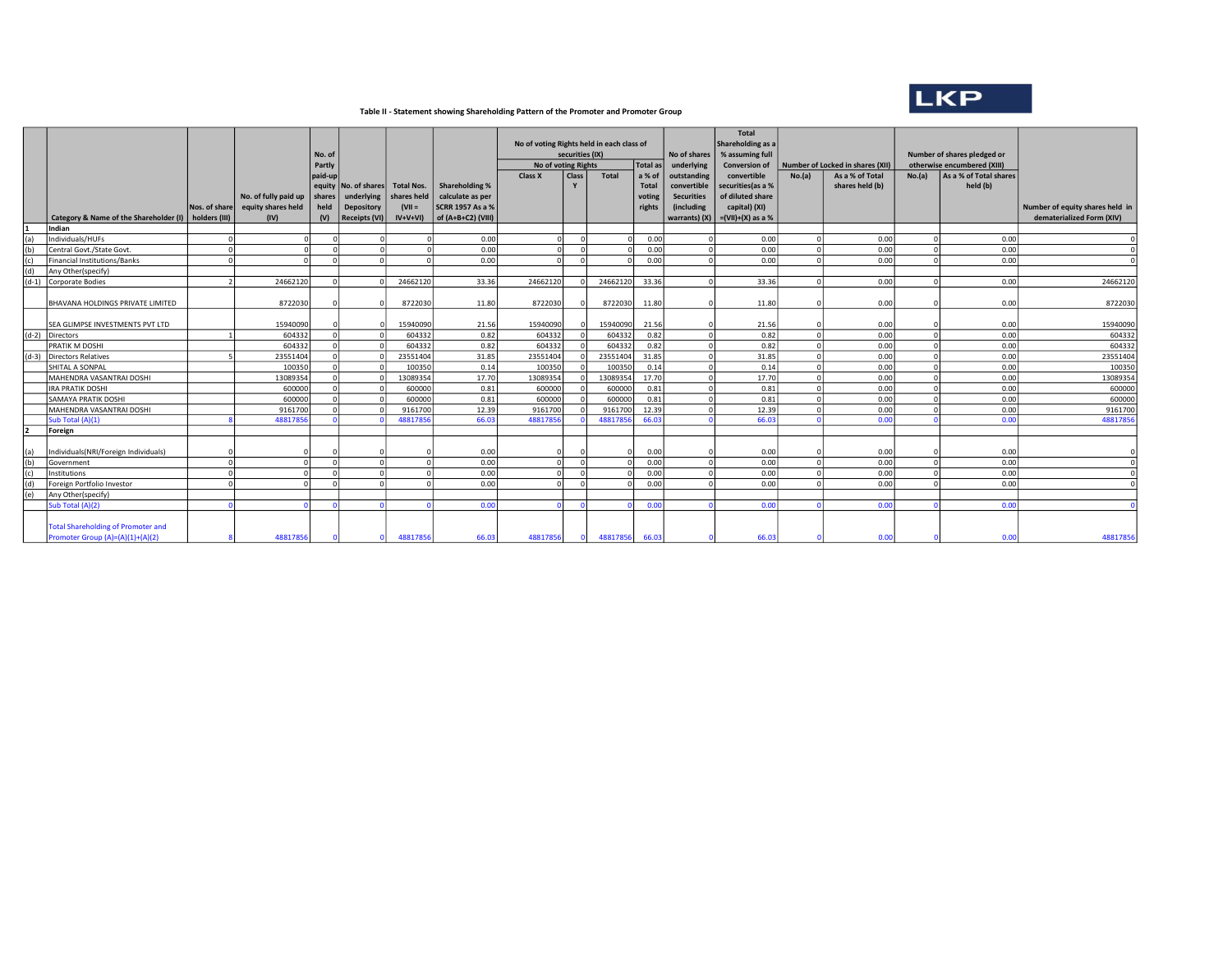

#### Table II - Statement showing Shareholding Pattern of the Promoter and Promoter Group

|         |                                           |                                |                                            | No. of<br>Partly |                                    |                                  |                                             | No of voting Rights held in each class of<br>No of voting Rights | securities (IX) |          | Total as         | No of shares<br>underlying | Total<br>Shareholding as a<br>% assuming full<br><b>Conversion of</b> | Number of Locked in shares (XII) |                 | Number of shares pledged or<br>otherwise encumbered (XIII) |                        |                                 |
|---------|-------------------------------------------|--------------------------------|--------------------------------------------|------------------|------------------------------------|----------------------------------|---------------------------------------------|------------------------------------------------------------------|-----------------|----------|------------------|----------------------------|-----------------------------------------------------------------------|----------------------------------|-----------------|------------------------------------------------------------|------------------------|---------------------------------|
|         |                                           |                                |                                            |                  |                                    |                                  |                                             |                                                                  | <b>Class</b>    | Total    |                  | outstanding                | convertible                                                           |                                  | As a % of Total | No.(a)                                                     | As a % of Total shares |                                 |
|         |                                           |                                |                                            | paid-up          |                                    |                                  | Shareholding %                              | Class X                                                          |                 |          | a % of           | convertible                |                                                                       | No.(a)                           | shares held (b) |                                                            | held (b)               |                                 |
|         |                                           |                                |                                            |                  | equity No. of shares<br>underlying | <b>Total Nos.</b><br>shares held |                                             |                                                                  |                 |          | Total            | <b>Securities</b>          | securities (as a %<br>of diluted share                                |                                  |                 |                                                            |                        |                                 |
|         |                                           |                                | No. of fully paid up<br>equity shares held | shares<br>held   | Depository                         | $(VII =$                         | calculate as per<br><b>SCRR 1957 As a %</b> |                                                                  |                 |          | voting<br>rights | (including                 | capital) (XI)                                                         |                                  |                 |                                                            |                        | Number of equity shares held in |
|         | Category & Name of the Shareholder (I)    | Nos. of share<br>holders (III) |                                            | (V)              | <b>Receipts (VI)</b>               | $IV+V+VI)$                       | of $(A+B+C2)$ (VIII)                        |                                                                  |                 |          |                  |                            | warrants) $(X)$ = $(VII)+(X)$ as a %                                  |                                  |                 |                                                            |                        | dematerialized Form (XIV)       |
|         | Indian                                    |                                | (IV)                                       |                  |                                    |                                  |                                             |                                                                  |                 |          |                  |                            |                                                                       |                                  |                 |                                                            |                        |                                 |
| (a)     | Individuals/HUFs                          |                                |                                            |                  |                                    | $\Omega$                         | 0.00                                        |                                                                  |                 |          | 0.00             | $\Omega$                   | 0.00                                                                  |                                  | 0.00            |                                                            | 0.00                   |                                 |
| (b)     | Central Govt./State Govt.                 |                                |                                            |                  |                                    |                                  | 0.00                                        |                                                                  |                 |          | 0.00             | 0                          | 0.00                                                                  | $\sqrt{2}$                       | 0.00            |                                                            | 0.00                   |                                 |
| (c)     | Financial Institutions/Banks              |                                |                                            |                  | $\Omega$                           |                                  | 0.00                                        |                                                                  | $\Omega$        |          | 0.00             | $\Omega$                   | 0.00                                                                  |                                  | 0.00            |                                                            | 0.00                   |                                 |
| (d)     | Any Other(specify)                        |                                |                                            |                  |                                    |                                  |                                             |                                                                  |                 |          |                  |                            |                                                                       |                                  |                 |                                                            |                        |                                 |
| $(d-1)$ | Corporate Bodies                          |                                | 24662120                                   |                  |                                    | 24662120                         | 33.36                                       | 24662120                                                         |                 | 24662120 | 33.36            | $\Omega$                   | 33.36                                                                 |                                  | 0.00            |                                                            | 0.00                   | 24662120                        |
|         |                                           |                                |                                            |                  |                                    |                                  |                                             |                                                                  |                 |          |                  |                            |                                                                       |                                  |                 |                                                            |                        |                                 |
|         | <b>BHAVANA HOLDINGS PRIVATE LIMITED</b>   |                                | 8722030                                    |                  |                                    | 8722030                          | 11.80                                       | 8722030                                                          |                 | 8722030  | 11.80            | $\Omega$                   | 11.80                                                                 |                                  | 0.00            |                                                            | 0.00                   | 8722030                         |
|         |                                           |                                |                                            |                  |                                    |                                  |                                             |                                                                  |                 |          |                  |                            |                                                                       |                                  |                 |                                                            |                        |                                 |
|         | SEA GLIMPSE INVESTMENTS PVT LTD           |                                | 15940090                                   |                  |                                    | 15940090                         | 21.56                                       | 15940090                                                         |                 | 15940090 | 21.56            | $\Omega$                   | 21.56                                                                 |                                  | 0.00            |                                                            | 0.00                   | 15940090                        |
|         | (d-2) Directors                           |                                | 604332                                     |                  |                                    | 604332                           | 0.82                                        | 604332                                                           |                 | 604332   | 0.82             | -ol                        | 0.82                                                                  | $\Omega$                         | 0.00            |                                                            | 0.00                   | 604332                          |
|         | <b>PRATIK M DOSHI</b>                     |                                | 604332                                     |                  |                                    | 604332                           | 0.82                                        | 604332                                                           |                 | 604332   | 0.82             | -ol                        | 0.82                                                                  | $\Omega$                         | 0.00            |                                                            | 0.00                   | 604332                          |
| $(d-3)$ | Directors Relatives                       |                                | 23551404                                   |                  |                                    | 23551404                         | 31.85                                       | 23551404                                                         | $\Omega$        | 23551404 | 31.85            | 0                          | 31.85                                                                 | $\Omega$                         | 0.00            |                                                            | 0.00                   | 23551404                        |
|         | SHITAL A SONPAL                           |                                | 100350                                     |                  |                                    | 100350                           | 0.14                                        | 100350                                                           |                 | 100350   | 0.14             | 0                          | 0.14                                                                  |                                  | 0.00            |                                                            | 0.00                   | 100350                          |
|         | MAHENDRA VASANTRAI DOSHI                  |                                | 13089354                                   |                  |                                    | 13089354                         | 17.70                                       | 13089354                                                         | $\Omega$        | 13089354 | 17.70            | $\circ$                    | 17.70                                                                 | $\Omega$                         | 0.00            |                                                            | 0.00                   | 13089354                        |
|         | IRA PRATIK DOSHI                          |                                | 600000                                     |                  |                                    | 600000                           | 0.81                                        | 600000                                                           | $\Omega$        | 600000   | 0.81             | 0                          | 0.81                                                                  | $\Omega$                         | 0.00            |                                                            | 0.00                   | 600000                          |
|         | <b>SAMAYA PRATIK DOSHI</b>                |                                | 600000                                     |                  |                                    | 600000                           | 0.81                                        | 600000                                                           | $\Omega$        | 600000   | 0.81             | -ol                        | 0.81                                                                  | $\Omega$                         | 0.00            |                                                            | 0.00                   | 600000                          |
|         | MAHENDRA VASANTRAI DOSHI                  |                                | 9161700                                    |                  |                                    | 9161700                          | 12.39                                       | 9161700                                                          | - ol            | 9161700  | 12.39            | $\Omega$                   | 12.39                                                                 |                                  | 0.00            |                                                            | 0.00                   | 9161700                         |
|         | Sub Total (A)(1)                          |                                | 4881785                                    |                  |                                    | 4881785                          | 66.03                                       | 4881785                                                          |                 | 4881785  | 66.03            |                            | 66.03                                                                 |                                  | 0.00            |                                                            | 0.00                   | 48817856                        |
|         | Foreign                                   |                                |                                            |                  |                                    |                                  |                                             |                                                                  |                 |          |                  |                            |                                                                       |                                  |                 |                                                            |                        |                                 |
|         |                                           |                                |                                            |                  |                                    |                                  |                                             |                                                                  |                 |          |                  |                            |                                                                       |                                  |                 |                                                            |                        |                                 |
| (a)     | Individuals(NRI/Foreign Individuals)      |                                |                                            |                  |                                    |                                  | 0.00                                        |                                                                  |                 |          | 0.00             | $\Omega$                   | 0.00                                                                  |                                  | 0.00            |                                                            | 0.00                   |                                 |
| (b)     | Government                                |                                |                                            |                  | $\Omega$                           |                                  | 0.00                                        |                                                                  | $\Omega$        |          | 0.00             | -ol                        | 0.00                                                                  |                                  | 0.00            |                                                            | 0.00                   |                                 |
| (c)     | Institutions                              |                                |                                            |                  | $\Omega$                           |                                  | 0.00                                        |                                                                  | $\Omega$        |          | 0.00             | $\Omega$                   | 0.00                                                                  |                                  | 0.00            |                                                            | 0.00                   |                                 |
| (d)     | Foreign Portfolio Investor                |                                |                                            |                  |                                    |                                  | 0.00                                        |                                                                  |                 |          | 0.00             | $\Omega$                   | 0.00                                                                  |                                  | 0.00            |                                                            | 0.00                   |                                 |
| (e)     | Any Other(specify)                        |                                |                                            |                  |                                    |                                  |                                             |                                                                  |                 |          |                  |                            |                                                                       |                                  |                 |                                                            |                        |                                 |
|         | Sub Total (A)(2)                          |                                |                                            |                  |                                    |                                  | 0.00                                        |                                                                  |                 |          | 0.00             | $\Omega$                   | 0.00                                                                  |                                  | 0.00            |                                                            | 0.00                   |                                 |
|         | <b>Total Shareholding of Promoter and</b> |                                |                                            |                  |                                    |                                  |                                             |                                                                  |                 |          |                  |                            |                                                                       |                                  |                 |                                                            |                        |                                 |
|         | Promoter Group (A)=(A)(1)+(A)(2)          |                                | 4881785                                    |                  |                                    | 48817856                         | 66.03                                       | 48817856                                                         |                 | 48817856 | 66.03            |                            | 66.03                                                                 |                                  | 0.00            |                                                            | 0.00                   | 48817856                        |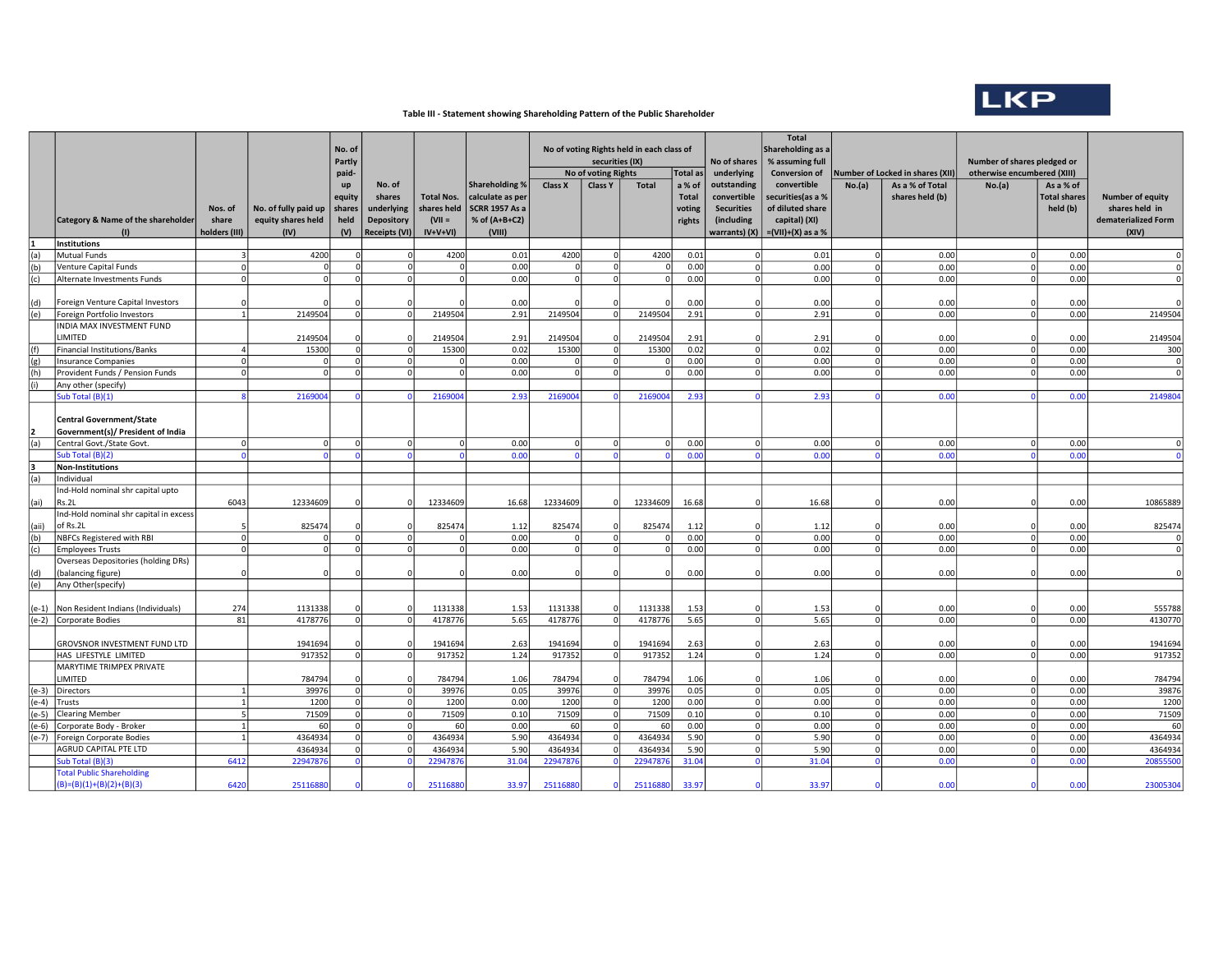

## Table III - Statement showing Shareholding Pattern of the Public Shareholder

|              |                                                                      |                         |                      | No. of<br>Partly |                             |                     |                       | No of voting Rights held in each class of<br>securities (IX) |                                       |                   | No of shares       | <b>Total</b><br>Shareholding as a<br>% assuming full |                                     |          | Number of shares pledged or                         |                                       |                     |                                |
|--------------|----------------------------------------------------------------------|-------------------------|----------------------|------------------|-----------------------------|---------------------|-----------------------|--------------------------------------------------------------|---------------------------------------|-------------------|--------------------|------------------------------------------------------|-------------------------------------|----------|-----------------------------------------------------|---------------------------------------|---------------------|--------------------------------|
|              |                                                                      |                         |                      | paid-<br>up      | No. of                      |                     | <b>Shareholding %</b> | Class X                                                      | No of voting Rights<br><b>Class Y</b> | <b>Total</b>      | Total as<br>a % of | underlying<br>outstanding                            | <b>Conversion of</b><br>convertible | No.(a)   | Number of Locked in shares (XII)<br>As a % of Total | otherwise encumbered (XIII)<br>No.(a) | As a % of           |                                |
|              |                                                                      |                         |                      | equity           | shares                      | <b>Total Nos.</b>   | calculate as per      |                                                              |                                       |                   | <b>Total</b>       | convertible                                          | securities(as a %                   |          | shares held (b)                                     |                                       | <b>Total shares</b> | <b>Number of equity</b>        |
|              |                                                                      | Nos. of                 | No. of fully paid up | shares           | underlying                  | shares held         | <b>SCRR 1957 As a</b> |                                                              |                                       |                   | voting             | <b>Securities</b>                                    | of diluted share                    |          |                                                     |                                       | held (b)            | shares held in                 |
|              | Category & Name of the shareholder                                   | share                   | equity shares held   | held             | Depository                  | $(VII =$            | % of (A+B+C2)         |                                                              |                                       |                   | rights             | (including                                           | capital) (XI)                       |          |                                                     |                                       |                     | dematerialized Form            |
|              | $\left( \mathbf{r} \right)$<br><b>Institutions</b>                   | holders (III)           | (IV)                 | (V)              | <b>Receipts (VI)</b>        | $IV+V+VI)$          | (VIII)                |                                                              |                                       |                   |                    | warrants) (X)                                        | $=(VII)+(X)$ as a %                 |          |                                                     |                                       |                     | (XIV)                          |
| (a)          | Mutual Funds                                                         | $\overline{\mathbf{a}}$ | 4200                 | $\Omega$         | $\Omega$                    | 4200                | 0.01                  | 4200                                                         | $\Omega$                              | 4200              | 0.01               | $\Omega$                                             | 0.01                                |          | 0.00                                                | $\Omega$                              | 0.00                | $\Omega$                       |
| (b)          | Venture Capital Funds                                                | $\Omega$                | C                    | $\Omega$         | $\Omega$                    | <b>C</b>            | 0.00                  | $\Omega$                                                     | $\Omega$                              |                   | 0.00               | 0                                                    | 0.00                                |          | 0.00                                                | $\circ$                               | 0.00                | $\overline{0}$                 |
| (c)          | Alternate Investments Funds                                          | $\Omega$                | C                    | $\Omega$         | $\mathbf 0$                 |                     | 0.00                  | $\Omega$                                                     | $\Omega$                              |                   | 0.00               | $\Omega$                                             | 0.00                                |          | 0.00                                                | $\Omega$                              | 0.00                | $\Omega$                       |
|              |                                                                      |                         |                      |                  |                             |                     |                       |                                                              |                                       |                   |                    |                                                      |                                     |          |                                                     |                                       |                     |                                |
| (d)          | Foreign Venture Capital Investors                                    |                         |                      |                  | $\Omega$                    |                     | 0.00                  |                                                              |                                       |                   | 0.00               |                                                      | 0.00                                |          | 0.00                                                |                                       | 0.00                |                                |
| (e)          | Foreign Portfolio Investors                                          |                         | 2149504              | $\Omega$         | $\mathbf 0$                 | 2149504             | 2.91                  | 2149504                                                      |                                       | 2149504           | 2.91               | $\Omega$                                             | 2.91                                |          | 0.00                                                | $\Omega$                              | 0.00                | 2149504                        |
|              | INDIA MAX INVESTMENT FUND                                            |                         |                      |                  |                             |                     |                       |                                                              |                                       |                   |                    |                                                      |                                     |          |                                                     |                                       |                     |                                |
|              | LIMITED                                                              |                         | 2149504              | $\Omega$         | $\Omega$                    | 2149504             | 2.91                  | 2149504                                                      |                                       | 2149504           | 2.91               | $\Omega$                                             | 2.91                                |          | 0.00                                                | $\Omega$                              | 0.00                | 2149504                        |
| (f)          | Financial Institutions/Banks<br>Insurance Companies                  | $\Omega$                | 15300<br>$\Omega$    | $\Omega$         | $\Omega$<br>$\mathbf 0$     | 15300<br>$\sqrt{2}$ | 0.02<br>0.00          | 15300<br>$\Omega$                                            | 0                                     | 15300             | 0.02<br>0.00       | 0                                                    | 0.02<br>0.00                        | $\Omega$ | 0.00<br>0.00                                        | $\Omega$                              | 0.00<br>0.00        | 300<br>$\overline{\mathbf{0}}$ |
| (g)<br>(h)   | Provident Funds / Pension Funds                                      | $\Omega$                | $\Omega$             |                  | $\mathbf 0$                 | $\sqrt{2}$          | 0.00                  | $\Omega$                                                     | οl                                    |                   | 0.00               | $\Omega$                                             | 0.00                                | $\Omega$ | 0.00                                                | $\Omega$                              | 0.00                | $\Omega$                       |
| (i)          | Any other (specify)                                                  |                         |                      |                  |                             |                     |                       |                                                              |                                       |                   |                    |                                                      |                                     |          |                                                     |                                       |                     |                                |
|              | Sub Total (B)(1)                                                     |                         | 216900               |                  | $\Omega$                    | 216900              | 2.93                  | 2169004                                                      |                                       | 216900            | 2.93               |                                                      | 2.93                                |          | 0.00                                                |                                       | 0.00                | 2149804                        |
|              |                                                                      |                         |                      |                  |                             |                     |                       |                                                              |                                       |                   |                    |                                                      |                                     |          |                                                     |                                       |                     |                                |
| l2           | <b>Central Government/State</b><br>Government(s)/ President of India |                         |                      |                  |                             |                     |                       |                                                              |                                       |                   |                    |                                                      |                                     |          |                                                     |                                       |                     |                                |
| (a)          | Central Govt./State Govt.                                            | $\Omega$                | $\Omega$             | $\Omega$         | $\mathbf 0$                 | $\Omega$            | 0.00                  | $\Omega$                                                     | $\Omega$                              | $\sqrt{ }$        | 0.00               | $\Omega$                                             | 0.00                                | $\Omega$ | 0.00                                                |                                       | 0.00                | $\Omega$                       |
|              | Sub Total (B)(2)                                                     |                         |                      |                  | $\Omega$                    |                     | 0.00                  |                                                              |                                       |                   | 0.00               |                                                      | 0.00                                |          | 0.00                                                |                                       | 0.00                |                                |
| lз           | Non-Institutions                                                     |                         |                      |                  |                             |                     |                       |                                                              |                                       |                   |                    |                                                      |                                     |          |                                                     |                                       |                     |                                |
| (a)          | Individual                                                           |                         |                      |                  |                             |                     |                       |                                                              |                                       |                   |                    |                                                      |                                     |          |                                                     |                                       |                     |                                |
|              | Ind-Hold nominal shr capital upto                                    |                         |                      |                  |                             |                     |                       |                                                              |                                       |                   |                    |                                                      |                                     |          |                                                     |                                       |                     |                                |
| (ai)         | Rs.2L                                                                | 6043                    | 12334609             |                  | $\Omega$                    | 12334609            | 16.68                 | 12334609                                                     |                                       | 12334609          | 16.68              |                                                      | 16.68                               |          | 0.00                                                |                                       | 0.00                | 10865889                       |
|              | Ind-Hold nominal shr capital in excess<br>of Rs.2L                   |                         | 825474               |                  | $\mathbf 0$                 | 825474              | 1.12                  | 825474                                                       |                                       | 825474            | 1.12               |                                                      | 1.12                                |          | 0.00                                                |                                       | 0.00                | 825474                         |
| (aii)<br>(b) | NBFCs Registered with RBI                                            | $\Omega$                | $\Omega$             | $\Omega$         | $\mathbf 0$                 | $\sqrt{2}$          | 0.00                  | $\Omega$                                                     | ΩI                                    | $\sqrt{2}$        | 0.00               | $\mathbf 0$                                          | 0.00                                | $\Omega$ | 0.00                                                | $\Omega$                              | 0.00                | $\mathbf 0$                    |
| (c)          | <b>Employees Trusts</b>                                              | $\Omega$                | $\Omega$             |                  | $\mathbf 0$                 | $\sqrt{2}$          | 0.00                  | $\Omega$                                                     | $\Omega$                              |                   | 0.00               | $\mathbf 0$                                          | 0.00                                |          | 0.00                                                |                                       | 0.00                | $\overline{0}$                 |
|              | Overseas Depositories (holding DRs)                                  |                         |                      |                  |                             |                     |                       |                                                              |                                       |                   |                    |                                                      |                                     |          |                                                     |                                       |                     |                                |
| (d)          | (balancing figure)                                                   |                         | £                    |                  | $\Omega$                    |                     | 0.00                  |                                                              |                                       |                   | 0.00               |                                                      | 0.00                                |          | 0.00                                                |                                       | 0.00                | $\mathbf 0$                    |
| (e)          | Any Other(specify)                                                   |                         |                      |                  |                             |                     |                       |                                                              |                                       |                   |                    |                                                      |                                     |          |                                                     |                                       |                     |                                |
|              |                                                                      |                         |                      |                  |                             |                     |                       |                                                              |                                       |                   |                    |                                                      |                                     |          |                                                     |                                       |                     |                                |
|              | (e-1) Non Resident Indians (Individuals)                             | 274                     | 1131338              |                  | $\overline{0}$              | 1131338             | 1.53                  | 1131338                                                      |                                       | 1131338           | 1.53               |                                                      | 1.53                                |          | 0.00                                                |                                       | 0.00                | 555788                         |
|              | (e-2) Corporate Bodies                                               | 81                      | 4178776              | $\overline{0}$   | $\mathbf{0}$                | 4178776             | 5.65                  | 4178776                                                      | $\Omega$                              | 4178776           | 5.65               | $\Omega$                                             | 5.65                                | $\Omega$ | 0.00                                                |                                       | 0.00                | 4130770                        |
|              |                                                                      |                         |                      |                  |                             |                     |                       |                                                              |                                       |                   |                    |                                                      |                                     |          | 0.00                                                |                                       |                     |                                |
|              | <b>GROVSNOR INVESTMENT FUND LTD</b><br>HAS LIFESTYLE LIMITED         |                         | 1941694<br>917352    | $\overline{0}$   | $\mathbf 0$<br>$\mathbf{0}$ | 1941694<br>917352   | 2.63<br>1.24          | 1941694<br>917352                                            | ΩI                                    | 1941694<br>917352 | 2.63<br>1.24       | $\Omega$                                             | 2.63<br>1.24                        | $\Omega$ | 0.00                                                | $\Omega$                              | 0.00<br>0.00        | 1941694<br>917352              |
|              | MARYTIME TRIMPEX PRIVATE                                             |                         |                      |                  |                             |                     |                       |                                                              |                                       |                   |                    |                                                      |                                     |          |                                                     |                                       |                     |                                |
|              | LIMITED                                                              |                         | 784794               |                  | $\overline{0}$              | 784794              | 1.06                  | 784794                                                       | U                                     | 784794            | 1.06               |                                                      | 1.06                                |          | 0.00                                                |                                       | 0.00                | 784794                         |
|              | (e-3) Directors                                                      |                         | 39976                | $\overline{0}$   | $\mathbf 0$                 | 39976               | 0.05                  | 39976                                                        | 0                                     | 39976             | 0.05               | 0                                                    | 0.05                                | $\Omega$ | 0.00                                                | $\circ$                               | 0.00                | 39876                          |
|              | (e-4) Trusts                                                         |                         | 1200                 | $\circ$          | $\overline{0}$              | 1200                | 0.00                  | 1200                                                         | οI                                    | 1200              | 0.00               | 0                                                    | 0.00                                |          | 0.00                                                | $\Omega$                              | 0.00                | 1200                           |
|              | (e-5) Clearing Member                                                | 51                      | 71509                | $\overline{0}$   | 0                           | 71509               | 0.10                  | 71509                                                        | 0                                     | 71509             | 0.10               | 0                                                    | 0.10                                | $\Omega$ | 0.00                                                | $\circ$                               | 0.00                | 71509                          |
|              | (e-6) Corporate Body - Broker                                        |                         | 60                   | $\Omega$         | ol                          | 60                  | 0.00                  | 60                                                           | ΩI                                    | 60                | 0.00               | 0                                                    | 0.00                                | $\Omega$ | 0.00                                                | $\circ$                               | 0.00                | 60                             |
|              | (e-7)   Foreign Corporate Bodies                                     |                         | 4364934              | $\Omega$         | $\mathbf 0$                 | 4364934             | 5.90                  | 4364934                                                      |                                       | 4364934           | 5.90               | $\mathbf 0$                                          | 5.90                                |          | 0.00                                                | $\Omega$                              | 0.00                | 4364934                        |
|              | AGRUD CAPITAL PTE LTD                                                |                         | 4364934              | $\Omega$         | $\mathbf{0}$                | 4364934             | 5.90                  | 4364934                                                      | $\Omega$                              | 4364934           | 5.90               | 0                                                    | 5.90                                | $\Omega$ | 0.00                                                | $\Omega$                              | 0.00                | 4364934                        |
|              | Sub Total (B)(3)                                                     | 6412                    | 2294787              |                  | $\Omega$                    | 2294787             | 31.04                 | 2294787                                                      |                                       | 2294787           | 31.04              | $\Omega$                                             | 31.04                               |          | 0.00                                                |                                       | 0.00                | 20855500                       |
|              | <b>Total Public Shareholding</b><br>$(B)=(B)(1)+(B)(2)+(B)(3)$       | 6420                    | 25116880             |                  | $\Omega$                    | 2511688             | 33.97                 | 2511688                                                      | n                                     | 25116880          | 33.97              |                                                      | 33.97                               |          | 0.00                                                |                                       | 0.00                | 23005304                       |